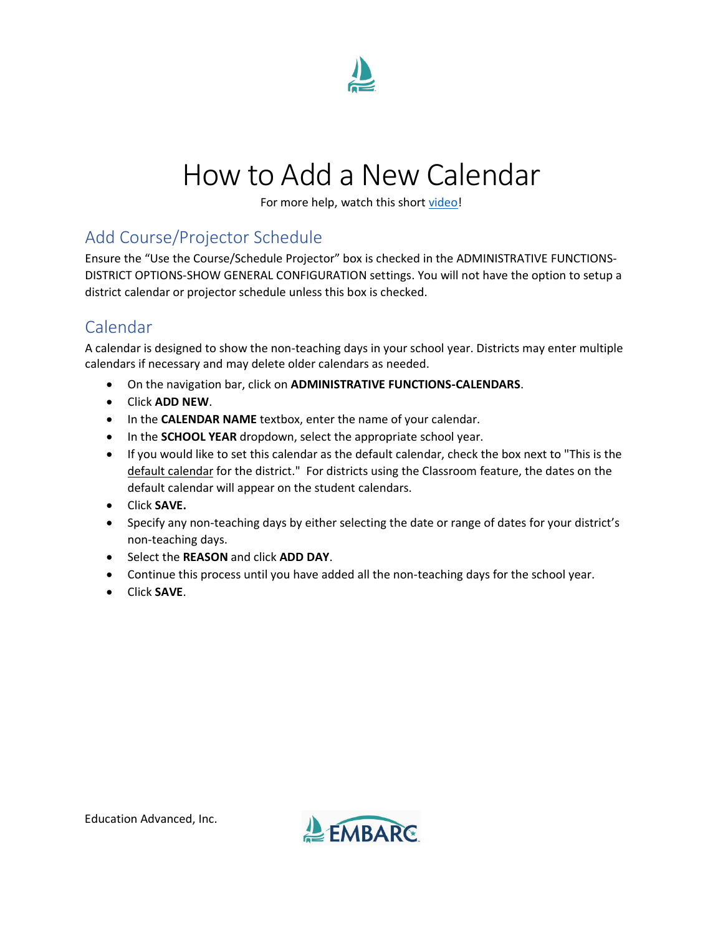

## How to Add a New Calendar

For more help, watch this short [video!](https://www.screencast.com/t/UDD7fNos)

## Add Course/Projector Schedule

Ensure the "Use the Course/Schedule Projector" box is checked in the ADMINISTRATIVE FUNCTIONS-DISTRICT OPTIONS-SHOW GENERAL CONFIGURATION settings. You will not have the option to setup a district calendar or projector schedule unless this box is checked.

## Calendar

A calendar is designed to show the non-teaching days in your school year. Districts may enter multiple calendars if necessary and may delete older calendars as needed.

- On the navigation bar, click on **ADMINISTRATIVE FUNCTIONS-CALENDARS**.
- Click **ADD NEW**.
- In the **CALENDAR NAME** textbox, enter the name of your calendar.
- In the **SCHOOL YEAR** dropdown, select the appropriate school year.
- If you would like to set this calendar as the default calendar, check the box next to "This is the default calendar for the district." For districts using the Classroom feature, the dates on the default calendar will appear on the student calendars.
- Click **SAVE.**
- Specify any non-teaching days by either selecting the date or range of dates for your district's non-teaching days.
- Select the **REASON** and click **ADD DAY**.
- Continue this process until you have added all the non-teaching days for the school year.
- Click **SAVE**.

Education Advanced, Inc.